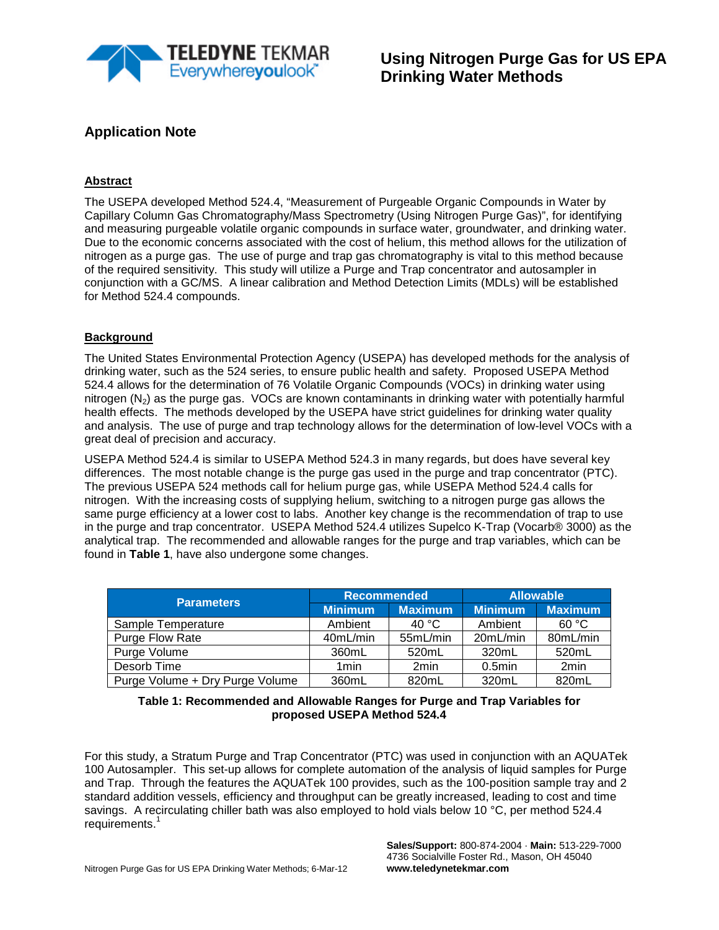

#### **Abstract**

The USEPA developed Method 524.4, "Measurement of Purgeable Organic Compounds in Water by Capillary Column Gas Chromatography/Mass Spectrometry (Using Nitrogen Purge Gas)", for identifying and measuring purgeable volatile organic compounds in surface water, groundwater, and drinking water. Due to the economic concerns associated with the cost of helium, this method allows for the utilization of nitrogen as a purge gas. The use of purge and trap gas chromatography is vital to this method because of the required sensitivity. This study will utilize a Purge and Trap concentrator and autosampler in conjunction with a GC/MS. A linear calibration and Method Detection Limits (MDLs) will be established for Method 524.4 compounds.

#### **Background**

The United States Environmental Protection Agency (USEPA) has developed methods for the analysis of drinking water, such as the 524 series, to ensure public health and safety. Proposed USEPA Method 524.4 allows for the determination of 76 Volatile Organic Compounds (VOCs) in drinking water using nitrogen  $(N_2)$  as the purge gas. VOCs are known contaminants in drinking water with potentially harmful health effects. The methods developed by the USEPA have strict guidelines for drinking water quality and analysis. The use of purge and trap technology allows for the determination of low-level VOCs with a great deal of precision and accuracy.

USEPA Method 524.4 is similar to USEPA Method 524.3 in many regards, but does have several key differences. The most notable change is the purge gas used in the purge and trap concentrator (PTC). The previous USEPA 524 methods call for helium purge gas, while USEPA Method 524.4 calls for nitrogen. With the increasing costs of supplying helium, switching to a nitrogen purge gas allows the same purge efficiency at a lower cost to labs. Another key change is the recommendation of trap to use in the purge and trap concentrator. USEPA Method 524.4 utilizes Supelco K-Trap (Vocarb® 3000) as the analytical trap. The recommended and allowable ranges for the purge and trap variables, which can be found in **Table 1**, have also undergone some changes.

| <b>Parameters</b>               | <b>Recommended</b> |                  | <b>Allowable</b> |                |  |
|---------------------------------|--------------------|------------------|------------------|----------------|--|
|                                 | <b>Minimum</b>     | <b>Maximum</b>   | <b>Minimum</b>   | <b>Maximum</b> |  |
| Sample Temperature              | Ambient            | 40 °C            | Ambient          | 60 °C          |  |
| Purge Flow Rate                 | 40mL/min           | 55mL/min         | 20mL/min         | 80mL/min       |  |
| Purge Volume                    | 360mL              | 520mL            | 320mL            | 520mL          |  |
| Desorb Time                     | 1 <sub>min</sub>   | 2 <sub>min</sub> | $0.5$ min        | 2min           |  |
| Purge Volume + Dry Purge Volume | 360mL              | 820mL            | 320mL            | 820mL          |  |

#### **Table 1: Recommended and Allowable Ranges for Purge and Trap Variables for proposed USEPA Method 524.4**

For this study, a Stratum Purge and Trap Concentrator (PTC) was used in conjunction with an AQUATek 100 Autosampler. This set-up allows for complete automation of the analysis of liquid samples for Purge and Trap. Through the features the AQUATek 100 provides, such as the 100-position sample tray and 2 standard addition vessels, efficiency and throughput can be greatly increased, leading to cost and time savings. A recirculating chiller bath was also employed to hold vials below 10 °C, per method 524.4 requirements. 1

> **Sales/Support:** 800-874-2004 · **Main:** 513-229-7000 4736 Socialville Foster Rd., Mason, OH 45040 **www.teledynetekmar.com**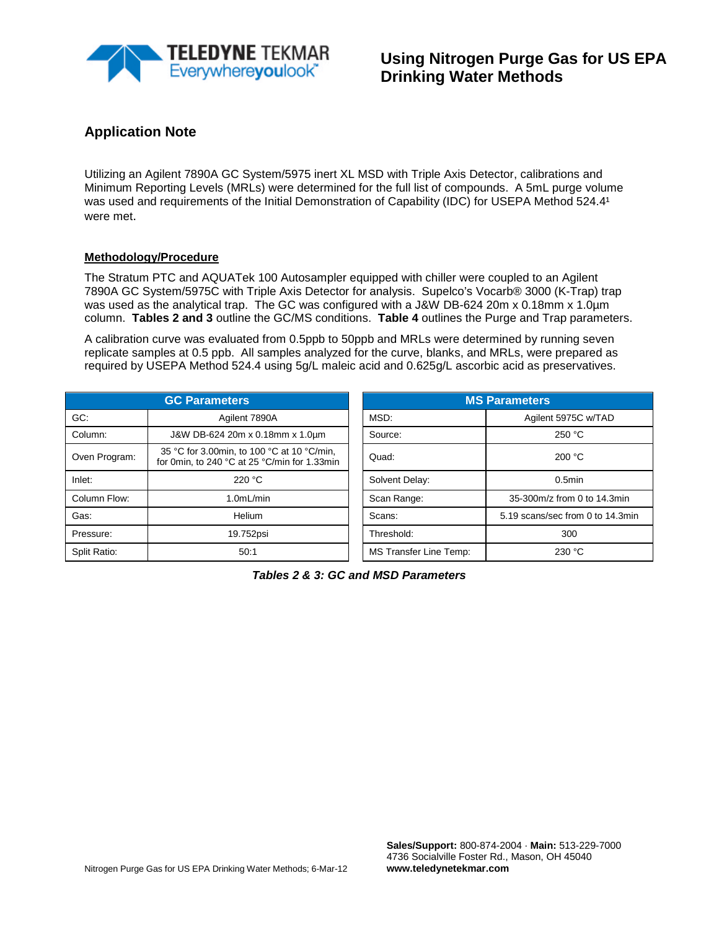

Utilizing an Agilent 7890A GC System/5975 inert XL MSD with Triple Axis Detector, calibrations and Minimum Reporting Levels (MRLs) were determined for the full list of compounds. A 5mL purge volume was used and requirements of the Initial Demonstration of Capability (IDC) for USEPA Method 524.41 were met.

#### **Methodology/Procedure**

The Stratum PTC and AQUATek 100 Autosampler equipped with chiller were coupled to an Agilent 7890A GC System/5975C with Triple Axis Detector for analysis. Supelco's Vocarb® 3000 (K-Trap) trap was used as the analytical trap. The GC was configured with a J&W DB-624 20m x 0.18mm x 1.0um column. **Tables 2 and 3** outline the GC/MS conditions. **Table 4** outlines the Purge and Trap parameters.

A calibration curve was evaluated from 0.5ppb to 50ppb and MRLs were determined by running seven replicate samples at 0.5 ppb. All samples analyzed for the curve, blanks, and MRLs, were prepared as required by USEPA Method 524.4 using 5g/L maleic acid and 0.625g/L ascorbic acid as preservatives.

| <b>GC Parameters</b> |                                                                                            |  | <b>MS Parameters</b>   |                                  |  |  |  |
|----------------------|--------------------------------------------------------------------------------------------|--|------------------------|----------------------------------|--|--|--|
| GC:                  | Agilent 7890A                                                                              |  | MSD:                   | Agilent 5975C w/TAD              |  |  |  |
| Column:              | J&W DB-624 20m x 0.18mm x 1.0um                                                            |  | Source:                | 250 °C                           |  |  |  |
| Oven Program:        | 35 °C for 3.00min, to 100 °C at 10 °C/min,<br>for 0min, to 240 °C at 25 °C/min for 1.33min |  | Quad:                  | 200 °C                           |  |  |  |
| Inlet:               | 220 °C                                                                                     |  | Solvent Delay:         | $0.5$ min                        |  |  |  |
| Column Flow:         | 1.0mL/min                                                                                  |  | Scan Range:            | 35-300m/z from 0 to 14.3min      |  |  |  |
| Gas:                 | Helium                                                                                     |  | Scans:                 | 5.19 scans/sec from 0 to 14.3min |  |  |  |
| Pressure:            | 19.752psi                                                                                  |  | Threshold:             | 300                              |  |  |  |
| Split Ratio:         | 50:1                                                                                       |  | MS Transfer Line Temp: | 230 °C                           |  |  |  |

| <b>GC Parameters</b>                                                                       | <b>MS Parameters</b>   |                                  |  |  |
|--------------------------------------------------------------------------------------------|------------------------|----------------------------------|--|--|
| Agilent 7890A                                                                              | MSD.                   | Agilent 5975C w/TAD              |  |  |
| J&W DB-624 20m x 0.18mm x 1.0um                                                            | Source:                | 250 °C                           |  |  |
| 35 °C for 3.00min, to 100 °C at 10 °C/min,<br>for 0min, to 240 °C at 25 °C/min for 1.33min | Quad:                  | 200 °C                           |  |  |
| 220 °C                                                                                     | Solvent Delay:         | $0.5$ min                        |  |  |
| 1.0mL/min                                                                                  | Scan Range:            | 35-300m/z from 0 to 14.3min      |  |  |
| Helium                                                                                     | Scans:                 | 5.19 scans/sec from 0 to 14.3min |  |  |
| 19.752psi                                                                                  | Threshold:             | 300                              |  |  |
| 50:1                                                                                       | MS Transfer Line Temp: | 230 °C                           |  |  |

*Tables 2 & 3: GC and MSD Parameters*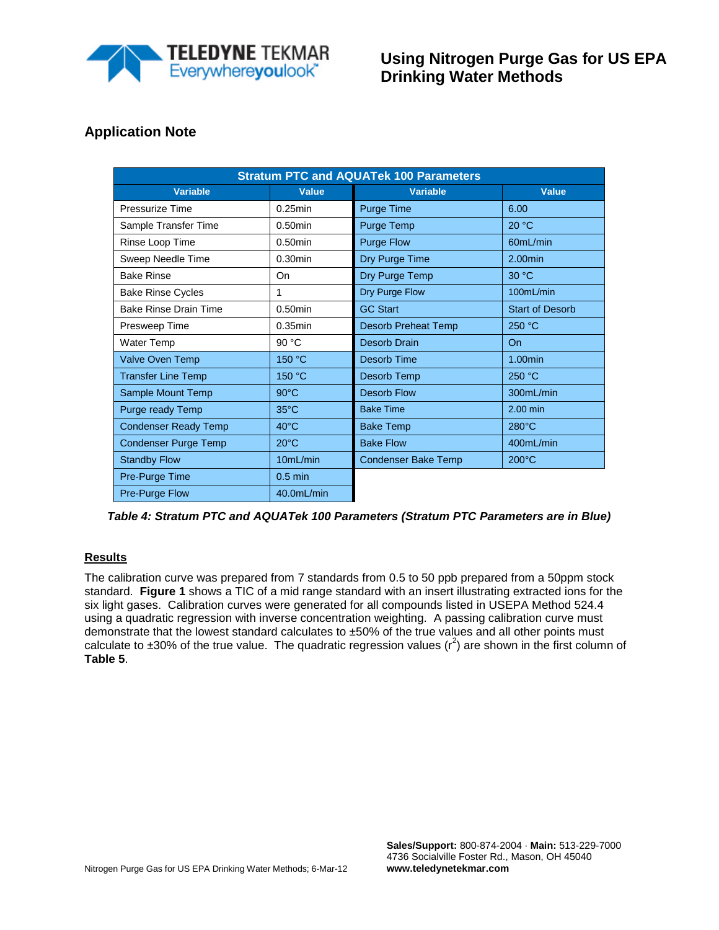

| <b>Stratum PTC and AQUATek 100 Parameters</b> |                |                            |                        |  |  |  |  |  |  |  |
|-----------------------------------------------|----------------|----------------------------|------------------------|--|--|--|--|--|--|--|
| <b>Variable</b>                               | <b>Value</b>   | <b>Variable</b>            | <b>Value</b>           |  |  |  |  |  |  |  |
| Pressurize Time                               | $0.25$ min     | <b>Purge Time</b>          | 6.00                   |  |  |  |  |  |  |  |
| Sample Transfer Time                          | $0.50$ min     | Purge Temp                 | 20 °C                  |  |  |  |  |  |  |  |
| Rinse Loop Time                               | $0.50$ min     | <b>Purge Flow</b>          | 60mL/min               |  |  |  |  |  |  |  |
| Sweep Needle Time                             | $0.30$ min     | Dry Purge Time             | $2.00$ min             |  |  |  |  |  |  |  |
| <b>Bake Rinse</b>                             | On             | Dry Purge Temp             | 30 °C                  |  |  |  |  |  |  |  |
| <b>Bake Rinse Cycles</b>                      | 1              | Dry Purge Flow             | 100mL/min              |  |  |  |  |  |  |  |
| <b>Bake Rinse Drain Time</b>                  | $0.50$ min     | <b>GC Start</b>            | <b>Start of Desorb</b> |  |  |  |  |  |  |  |
| Presweep Time                                 | $0.35$ min     | <b>Desorb Preheat Temp</b> | 250 °C                 |  |  |  |  |  |  |  |
| <b>Water Temp</b>                             | 90 °C          | Desorb Drain               | <b>On</b>              |  |  |  |  |  |  |  |
| Valve Oven Temp                               | 150 °C         | Desorb Time                | 1.00min                |  |  |  |  |  |  |  |
| <b>Transfer Line Temp</b>                     | 150 °C         | Desorb Temp                | 250 °C                 |  |  |  |  |  |  |  |
| Sample Mount Temp                             | $90^{\circ}$ C | <b>Desorb Flow</b>         | 300mL/min              |  |  |  |  |  |  |  |
| Purge ready Temp                              | $35^{\circ}$ C | <b>Bake Time</b>           | 2.00 min               |  |  |  |  |  |  |  |
| <b>Condenser Ready Temp</b>                   | $40^{\circ}$ C | <b>Bake Temp</b>           | $280^{\circ}$ C        |  |  |  |  |  |  |  |
| <b>Condenser Purge Temp</b>                   | $20^{\circ}$ C | <b>Bake Flow</b>           | 400mL/min              |  |  |  |  |  |  |  |
| <b>Standby Flow</b>                           | 10mL/min       | <b>Condenser Bake Temp</b> | $200^{\circ}$ C        |  |  |  |  |  |  |  |
| Pre-Purge Time                                | $0.5$ min      |                            |                        |  |  |  |  |  |  |  |
| <b>Pre-Purge Flow</b>                         | 40.0mL/min     |                            |                        |  |  |  |  |  |  |  |

*Table 4: Stratum PTC and AQUATek 100 Parameters (Stratum PTC Parameters are in Blue)*

#### **Results**

The calibration curve was prepared from 7 standards from 0.5 to 50 ppb prepared from a 50ppm stock standard. **Figure 1** shows a TIC of a mid range standard with an insert illustrating extracted ions for the six light gases. Calibration curves were generated for all compounds listed in USEPA Method 524.4 using a quadratic regression with inverse concentration weighting. A passing calibration curve must demonstrate that the lowest standard calculates to ±50% of the true values and all other points must calculate to ±30% of the true value. The quadratic regression values ( $r^2$ ) are shown in the first column of **Table 5**.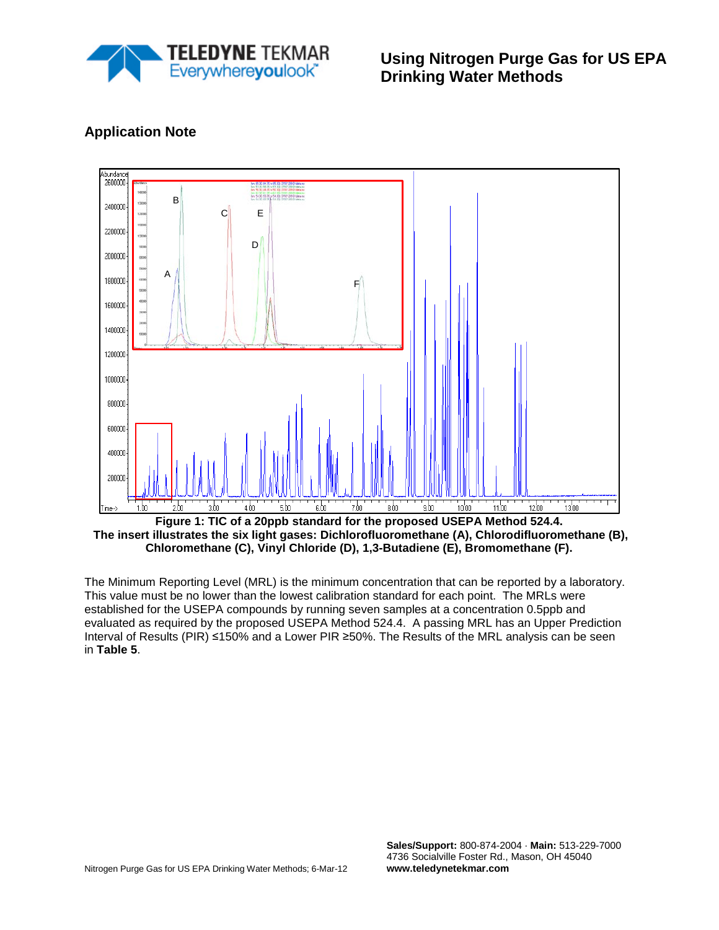

**Using Nitrogen Purge Gas for US EPA Drinking Water Methods**



## **Application Note**

**Figure 1: TIC of a 20ppb standard for the proposed USEPA Method 524.4. The insert illustrates the six light gases: Dichlorofluoromethane (A), Chlorodifluoromethane (B), Chloromethane (C), Vinyl Chloride (D), 1,3-Butadiene (E), Bromomethane (F).**

The Minimum Reporting Level (MRL) is the minimum concentration that can be reported by a laboratory. This value must be no lower than the lowest calibration standard for each point. The MRLs were established for the USEPA compounds by running seven samples at a concentration 0.5ppb and evaluated as required by the proposed USEPA Method 524.4. A passing MRL has an Upper Prediction Interval of Results (PIR) ≤150% and a Lower PIR ≥50%. The Results of the MRL analysis can be seen in **Table 5**.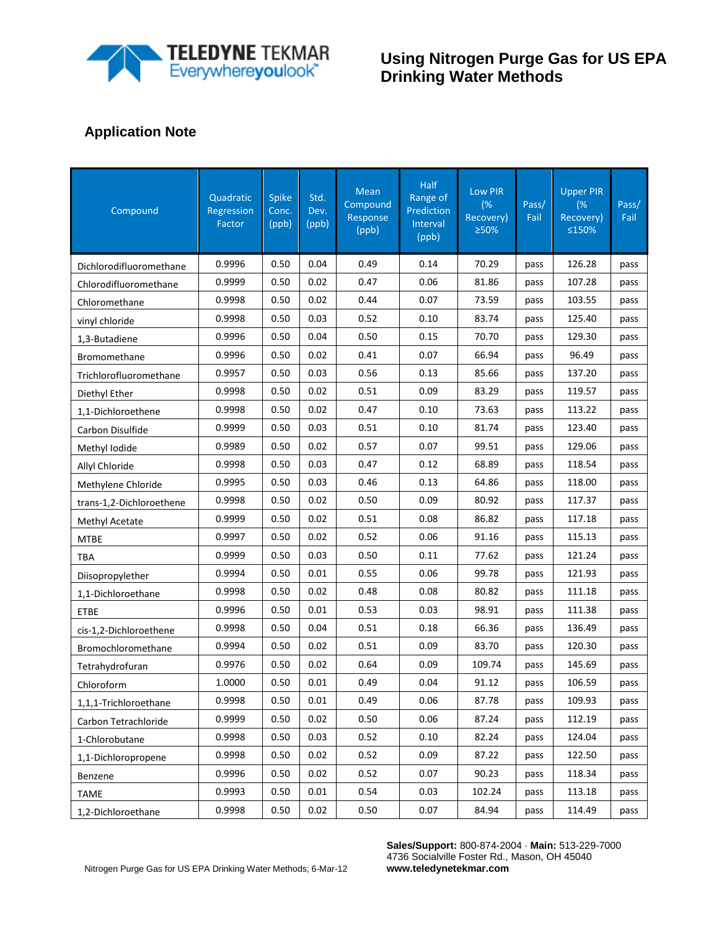

# **Using Nitrogen Purge Gas for US EPA Drinking Water Methods**

# **Application Note**

| Compound                 | Quadratic<br>Regression<br>Factor | <b>Spike</b><br>Conc.<br>(ppb) | Std.<br>Dev.<br>(ppb) | Mean<br>Compound<br>Response<br>(ppb) | <b>Half</b><br>Range of<br>Prediction<br>Interval<br>(ppb) | Low PIR<br>(%<br>Recovery)<br>≥50% | Pass/<br>Fail | <b>Upper PIR</b><br>(%<br>Recovery)<br>≤150% | Pass/<br>Fail |
|--------------------------|-----------------------------------|--------------------------------|-----------------------|---------------------------------------|------------------------------------------------------------|------------------------------------|---------------|----------------------------------------------|---------------|
| Dichlorodifluoromethane  | 0.9996                            | 0.50                           | 0.04                  | 0.49                                  | 0.14                                                       | 70.29                              | pass          | 126.28                                       | pass          |
| Chlorodifluoromethane    | 0.9999                            | 0.50                           | 0.02                  | 0.47                                  | 0.06                                                       | 81.86                              | pass          | 107.28                                       | pass          |
| Chloromethane            | 0.9998                            | 0.50                           | 0.02                  | 0.44                                  | 0.07                                                       | 73.59                              | pass          | 103.55                                       | pass          |
| vinyl chloride           | 0.9998                            | 0.50                           | 0.03                  | 0.52                                  | 0.10                                                       | 83.74                              | pass          | 125.40                                       | pass          |
| 1,3-Butadiene            | 0.9996                            | 0.50                           | 0.04                  | 0.50                                  | 0.15                                                       | 70.70                              | pass          | 129.30                                       | pass          |
| Bromomethane             | 0.9996                            | 0.50                           | 0.02                  | 0.41                                  | 0.07                                                       | 66.94                              | pass          | 96.49                                        | pass          |
| Trichlorofluoromethane   | 0.9957                            | 0.50                           | 0.03                  | 0.56                                  | 0.13                                                       | 85.66                              | pass          | 137.20                                       | pass          |
| Diethyl Ether            | 0.9998                            | 0.50                           | 0.02                  | 0.51                                  | 0.09                                                       | 83.29                              | pass          | 119.57                                       | pass          |
| 1,1-Dichloroethene       | 0.9998                            | 0.50                           | 0.02                  | 0.47                                  | 0.10                                                       | 73.63                              | pass          | 113.22                                       | pass          |
| Carbon Disulfide         | 0.9999                            | 0.50                           | 0.03                  | 0.51                                  | 0.10                                                       | 81.74                              | pass          | 123.40                                       | pass          |
| Methyl Iodide            | 0.9989                            | 0.50                           | 0.02                  | 0.57                                  | 0.07                                                       | 99.51                              | pass          | 129.06                                       | pass          |
| Allyl Chloride           | 0.9998                            | 0.50                           | 0.03                  | 0.47                                  | 0.12                                                       | 68.89                              | pass          | 118.54                                       | pass          |
| Methylene Chloride       | 0.9995                            | 0.50                           | 0.03                  | 0.46                                  | 0.13                                                       | 64.86                              | pass          | 118.00                                       | pass          |
| trans-1,2-Dichloroethene | 0.9998                            | 0.50                           | 0.02                  | 0.50                                  | 0.09                                                       | 80.92                              | pass          | 117.37                                       | pass          |
| Methyl Acetate           | 0.9999                            | 0.50                           | 0.02                  | 0.51                                  | 0.08                                                       | 86.82                              | pass          | 117.18                                       | pass          |
| <b>MTBE</b>              | 0.9997                            | 0.50                           | 0.02                  | 0.52                                  | 0.06                                                       | 91.16                              | pass          | 115.13                                       | pass          |
| <b>TBA</b>               | 0.9999                            | 0.50                           | 0.03                  | 0.50                                  | 0.11                                                       | 77.62                              | pass          | 121.24                                       | pass          |
| Diisopropylether         | 0.9994                            | 0.50                           | 0.01                  | 0.55                                  | 0.06                                                       | 99.78                              | pass          | 121.93                                       | pass          |
| 1,1-Dichloroethane       | 0.9998                            | 0.50                           | 0.02                  | 0.48                                  | 0.08                                                       | 80.82                              | pass          | 111.18                                       | pass          |
| <b>ETBE</b>              | 0.9996                            | 0.50                           | 0.01                  | 0.53                                  | 0.03                                                       | 98.91                              | pass          | 111.38                                       | pass          |
| cis-1,2-Dichloroethene   | 0.9998                            | 0.50                           | 0.04                  | 0.51                                  | 0.18                                                       | 66.36                              | pass          | 136.49                                       | pass          |
| Bromochloromethane       | 0.9994                            | 0.50                           | 0.02                  | 0.51                                  | 0.09                                                       | 83.70                              | pass          | 120.30                                       | pass          |
| Tetrahydrofuran          | 0.9976                            | 0.50                           | 0.02                  | 0.64                                  | 0.09                                                       | 109.74                             | pass          | 145.69                                       | pass          |
| Chloroform               | 1.0000                            | 0.50                           | 0.01                  | 0.49                                  | 0.04                                                       | 91.12                              | pass          | 106.59                                       | pass          |
| 1,1,1-Trichloroethane    | 0.9998                            | 0.50                           | 0.01                  | 0.49                                  | 0.06                                                       | 87.78                              | pass          | 109.93                                       | pass          |
| Carbon Tetrachloride     | 0.9999                            | 0.50                           | 0.02                  | 0.50                                  | 0.06                                                       | 87.24                              | pass          | 112.19                                       | pass          |
| 1-Chlorobutane           | 0.9998                            | 0.50                           | 0.03                  | 0.52                                  | 0.10                                                       | 82.24                              | pass          | 124.04                                       | pass          |
| 1,1-Dichloropropene      | 0.9998                            | 0.50                           | 0.02                  | 0.52                                  | 0.09                                                       | 87.22                              | pass          | 122.50                                       | pass          |
| Benzene                  | 0.9996                            | 0.50                           | 0.02                  | 0.52                                  | 0.07                                                       | 90.23                              | pass          | 118.34                                       | pass          |
| <b>TAME</b>              | 0.9993                            | 0.50                           | 0.01                  | 0.54                                  | 0.03                                                       | 102.24                             | pass          | 113.18                                       | pass          |
| 1,2-Dichloroethane       | 0.9998                            | 0.50                           | 0.02                  | 0.50                                  | 0.07                                                       | 84.94                              | pass          | 114.49                                       | pass          |

**Sales/Support:** 800-874-2004 · **Main:** 513-229-7000 4736 Socialville Foster Rd., Mason, OH 45040 **www.teledynetekmar.com**

Nitrogen Purge Gas for US EPA Drinking Water Methods; 6-Mar-12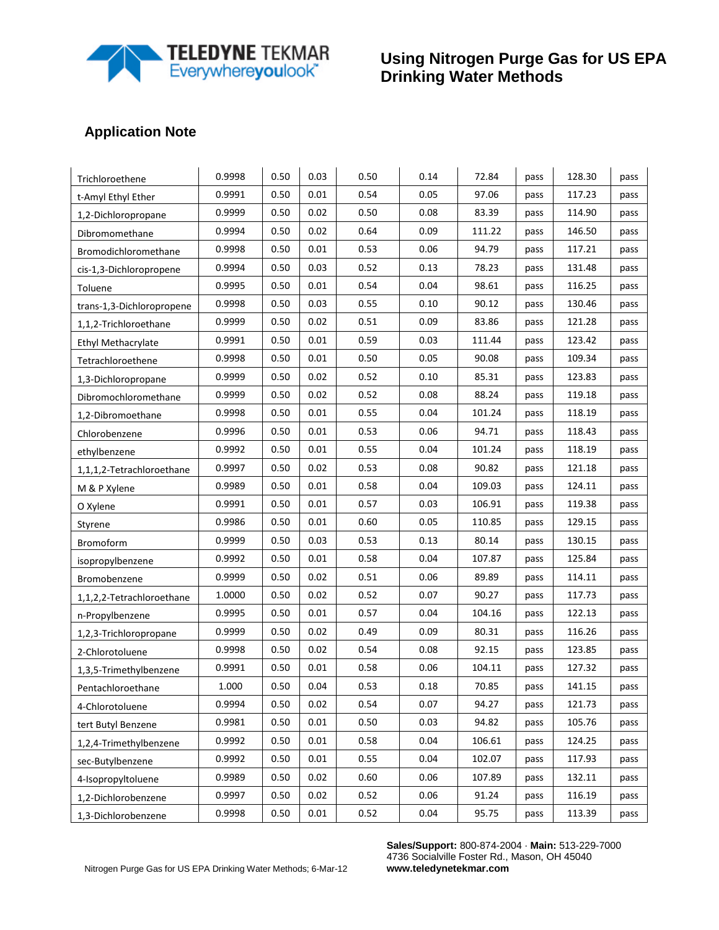

# **Using Nitrogen Purge Gas for US EPA Drinking Water Methods**

# **Application Note**

| Trichloroethene           | 0.9998 | 0.50 | 0.03     | 0.50 | 0.14 | 72.84  | pass | 128.30 | pass |
|---------------------------|--------|------|----------|------|------|--------|------|--------|------|
| t-Amyl Ethyl Ether        | 0.9991 | 0.50 | 0.01     | 0.54 | 0.05 | 97.06  | pass | 117.23 | pass |
| 1,2-Dichloropropane       | 0.9999 | 0.50 | 0.02     | 0.50 | 0.08 | 83.39  | pass | 114.90 | pass |
| Dibromomethane            | 0.9994 | 0.50 | 0.02     | 0.64 | 0.09 | 111.22 | pass | 146.50 | pass |
| Bromodichloromethane      | 0.9998 | 0.50 | 0.01     | 0.53 | 0.06 | 94.79  | pass | 117.21 | pass |
| cis-1,3-Dichloropropene   | 0.9994 | 0.50 | 0.03     | 0.52 | 0.13 | 78.23  | pass | 131.48 | pass |
| Toluene                   | 0.9995 | 0.50 | 0.01     | 0.54 | 0.04 | 98.61  | pass | 116.25 | pass |
| trans-1,3-Dichloropropene | 0.9998 | 0.50 | 0.03     | 0.55 | 0.10 | 90.12  | pass | 130.46 | pass |
| 1,1,2-Trichloroethane     | 0.9999 | 0.50 | 0.02     | 0.51 | 0.09 | 83.86  | pass | 121.28 | pass |
| Ethyl Methacrylate        | 0.9991 | 0.50 | 0.01     | 0.59 | 0.03 | 111.44 | pass | 123.42 | pass |
| Tetrachloroethene         | 0.9998 | 0.50 | $0.01\,$ | 0.50 | 0.05 | 90.08  | pass | 109.34 | pass |
| 1,3-Dichloropropane       | 0.9999 | 0.50 | 0.02     | 0.52 | 0.10 | 85.31  | pass | 123.83 | pass |
| Dibromochloromethane      | 0.9999 | 0.50 | 0.02     | 0.52 | 0.08 | 88.24  | pass | 119.18 | pass |
| 1,2-Dibromoethane         | 0.9998 | 0.50 | 0.01     | 0.55 | 0.04 | 101.24 | pass | 118.19 | pass |
| Chlorobenzene             | 0.9996 | 0.50 | 0.01     | 0.53 | 0.06 | 94.71  | pass | 118.43 | pass |
| ethylbenzene              | 0.9992 | 0.50 | 0.01     | 0.55 | 0.04 | 101.24 | pass | 118.19 | pass |
| 1,1,1,2-Tetrachloroethane | 0.9997 | 0.50 | 0.02     | 0.53 | 0.08 | 90.82  | pass | 121.18 | pass |
| M & P Xylene              | 0.9989 | 0.50 | $0.01\,$ | 0.58 | 0.04 | 109.03 | pass | 124.11 | pass |
| O Xylene                  | 0.9991 | 0.50 | 0.01     | 0.57 | 0.03 | 106.91 | pass | 119.38 | pass |
| Styrene                   | 0.9986 | 0.50 | 0.01     | 0.60 | 0.05 | 110.85 | pass | 129.15 | pass |
| Bromoform                 | 0.9999 | 0.50 | 0.03     | 0.53 | 0.13 | 80.14  | pass | 130.15 | pass |
| isopropylbenzene          | 0.9992 | 0.50 | 0.01     | 0.58 | 0.04 | 107.87 | pass | 125.84 | pass |
| Bromobenzene              | 0.9999 | 0.50 | 0.02     | 0.51 | 0.06 | 89.89  | pass | 114.11 | pass |
| 1,1,2,2-Tetrachloroethane | 1.0000 | 0.50 | 0.02     | 0.52 | 0.07 | 90.27  | pass | 117.73 | pass |
| n-Propylbenzene           | 0.9995 | 0.50 | $0.01\,$ | 0.57 | 0.04 | 104.16 | pass | 122.13 | pass |
| 1,2,3-Trichloropropane    | 0.9999 | 0.50 | 0.02     | 0.49 | 0.09 | 80.31  | pass | 116.26 | pass |
| 2-Chlorotoluene           | 0.9998 | 0.50 | 0.02     | 0.54 | 0.08 | 92.15  | pass | 123.85 | pass |
| 1,3,5-Trimethylbenzene    | 0.9991 | 0.50 | 0.01     | 0.58 | 0.06 | 104.11 | pass | 127.32 | pass |
| Pentachloroethane         | 1.000  | 0.50 | 0.04     | 0.53 | 0.18 | 70.85  | pass | 141.15 | pass |
| 4-Chlorotoluene           | 0.9994 | 0.50 | 0.02     | 0.54 | 0.07 | 94.27  | pass | 121.73 | pass |
| tert Butyl Benzene        | 0.9981 | 0.50 | 0.01     | 0.50 | 0.03 | 94.82  | pass | 105.76 | pass |
| 1,2,4-Trimethylbenzene    | 0.9992 | 0.50 | 0.01     | 0.58 | 0.04 | 106.61 | pass | 124.25 | pass |
| sec-Butylbenzene          | 0.9992 | 0.50 | 0.01     | 0.55 | 0.04 | 102.07 | pass | 117.93 | pass |
| 4-Isopropyltoluene        | 0.9989 | 0.50 | 0.02     | 0.60 | 0.06 | 107.89 | pass | 132.11 | pass |
| 1,2-Dichlorobenzene       | 0.9997 | 0.50 | 0.02     | 0.52 | 0.06 | 91.24  | pass | 116.19 | pass |
| 1,3-Dichlorobenzene       | 0.9998 | 0.50 | $0.01\,$ | 0.52 | 0.04 | 95.75  | pass | 113.39 | pass |

**Sales/Support:** 800-874-2004 · **Main:** 513-229-7000 4736 Socialville Foster Rd., Mason, OH 45040 **www.teledynetekmar.com**

Nitrogen Purge Gas for US EPA Drinking Water Methods; 6-Mar-12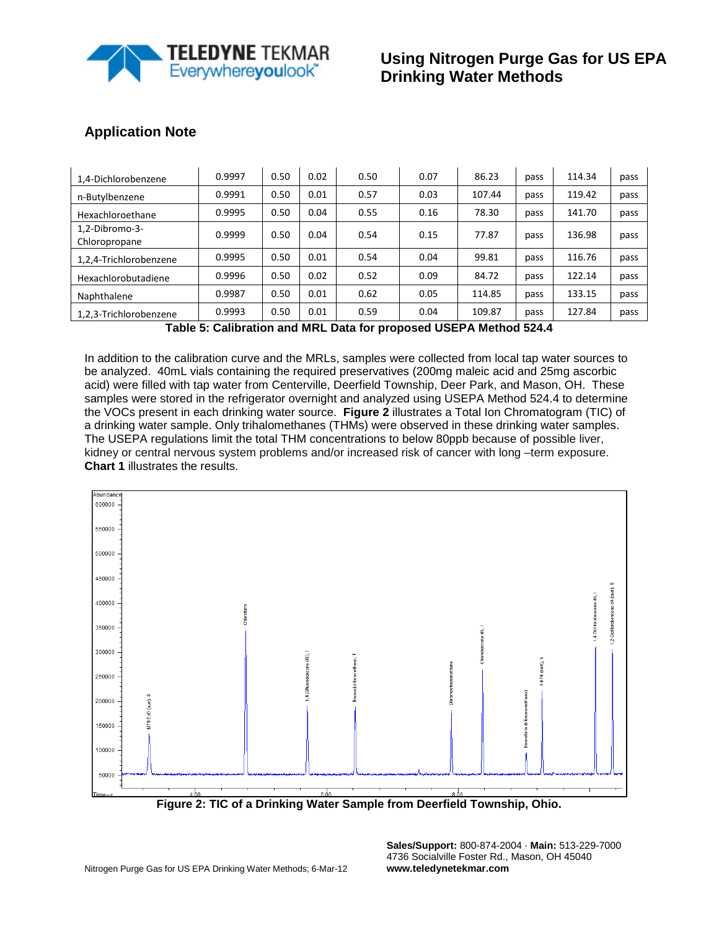

| 1,4-Dichlorobenzene             | 0.9997 | 0.50 | 0.02 | 0.50 | 0.07 | 86.23  | pass | 114.34 | pass |
|---------------------------------|--------|------|------|------|------|--------|------|--------|------|
| n-Butylbenzene                  | 0.9991 | 0.50 | 0.01 | 0.57 | 0.03 | 107.44 | pass | 119.42 | pass |
| Hexachloroethane                | 0.9995 | 0.50 | 0.04 | 0.55 | 0.16 | 78.30  | pass | 141.70 | pass |
| 1,2-Dibromo-3-<br>Chloropropane | 0.9999 | 0.50 | 0.04 | 0.54 | 0.15 | 77.87  | pass | 136.98 | pass |
| 1,2,4-Trichlorobenzene          | 0.9995 | 0.50 | 0.01 | 0.54 | 0.04 | 99.81  | pass | 116.76 | pass |
| Hexachlorobutadiene             | 0.9996 | 0.50 | 0.02 | 0.52 | 0.09 | 84.72  | pass | 122.14 | pass |
| Naphthalene                     | 0.9987 | 0.50 | 0.01 | 0.62 | 0.05 | 114.85 | pass | 133.15 | pass |
| 1,2,3-Trichlorobenzene          | 0.9993 | 0.50 | 0.01 | 0.59 | 0.04 | 109.87 | pass | 127.84 | pass |

**Table 5: Calibration and MRL Data for proposed USEPA Method 524.4**

In addition to the calibration curve and the MRLs, samples were collected from local tap water sources to be analyzed. 40mL vials containing the required preservatives (200mg maleic acid and 25mg ascorbic acid) were filled with tap water from Centerville, Deerfield Township, Deer Park, and Mason, OH. These samples were stored in the refrigerator overnight and analyzed using USEPA Method 524.4 to determine the VOCs present in each drinking water source. **Figure 2** illustrates a Total Ion Chromatogram (TIC) of a drinking water sample. Only trihalomethanes (THMs) were observed in these drinking water samples. The USEPA regulations limit the total THM concentrations to below 80ppb because of possible liver, kidney or central nervous system problems and/or increased risk of cancer with long –term exposure. **Chart 1** illustrates the results.



**Figure 2: TIC of a Drinking Water Sample from Deerfield Township, Ohio.**

**Sales/Support:** 800-874-2004 · **Main:** 513-229-7000 4736 Socialville Foster Rd., Mason, OH 45040 **www.teledynetekmar.com**